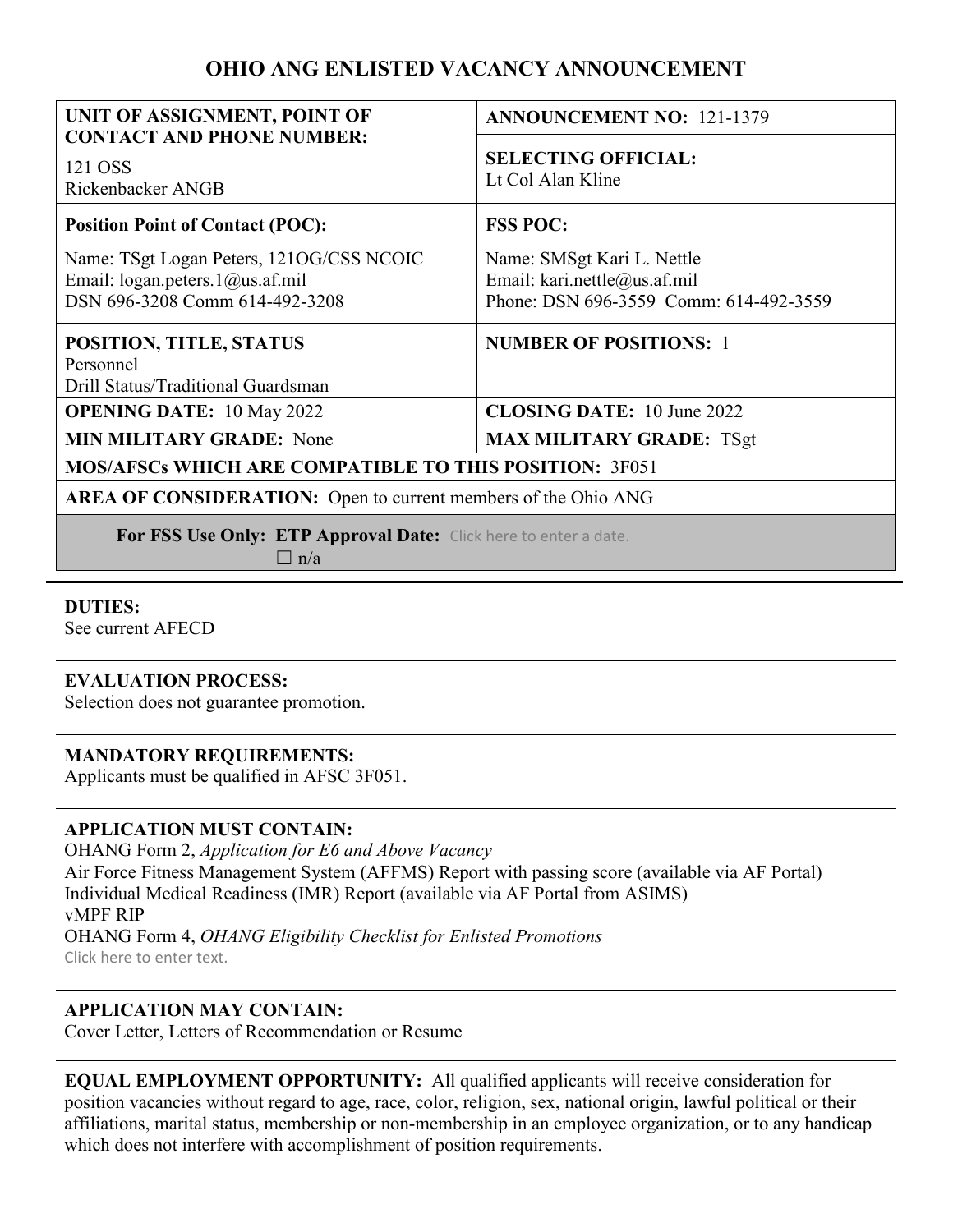# **OHIO ANG ENLISTED VACANCY ANNOUNCEMENT**

| UNIT OF ASSIGNMENT, POINT OF                                     | <b>ANNOUNCEMENT NO: 121-1379</b>       |
|------------------------------------------------------------------|----------------------------------------|
| <b>CONTACT AND PHONE NUMBER:</b>                                 | <b>SELECTING OFFICIAL:</b>             |
| 121 OSS<br>Rickenbacker ANGB                                     | Lt Col Alan Kline                      |
|                                                                  |                                        |
| <b>Position Point of Contact (POC):</b>                          | <b>FSS POC:</b>                        |
| Name: TSgt Logan Peters, 1210G/CSS NCOIC                         | Name: SMSgt Kari L. Nettle             |
| Email: logan.peters.1@us.af.mil                                  | Email: kari.nettle@us.af.mil           |
| DSN 696-3208 Comm 614-492-3208                                   | Phone: DSN 696-3559 Comm: 614-492-3559 |
| POSITION, TITLE, STATUS                                          | <b>NUMBER OF POSITIONS: 1</b>          |
| Personnel                                                        |                                        |
| Drill Status/Traditional Guardsman                               |                                        |
| <b>OPENING DATE: 10 May 2022</b>                                 | <b>CLOSING DATE:</b> 10 June 2022      |
| <b>MIN MILITARY GRADE:</b> None                                  | <b>MAX MILITARY GRADE: TSgt</b>        |
| <b>MOS/AFSCs WHICH ARE COMPATIBLE TO THIS POSITION: 3F051</b>    |                                        |
| AREA OF CONSIDERATION: Open to current members of the Ohio ANG   |                                        |
| For FSS Use Only: ETP Approval Date: Click here to enter a date. |                                        |
| $\Box$ n/a                                                       |                                        |

#### **DUTIES:**

See current AFECD

#### **EVALUATION PROCESS:**

Selection does not guarantee promotion.

#### **MANDATORY REQUIREMENTS:**

Applicants must be qualified in AFSC 3F051.

#### **APPLICATION MUST CONTAIN:**

OHANG Form 2, *Application for E6 and Above Vacancy* Air Force Fitness Management System (AFFMS) Report with passing score (available via AF Portal) Individual Medical Readiness (IMR) Report (available via AF Portal from ASIMS) vMPF RIP OHANG Form 4, *OHANG Eligibility Checklist for Enlisted Promotions* Click here to enter text.

### **APPLICATION MAY CONTAIN:**

Cover Letter, Letters of Recommendation or Resume

| <b>EQUAL EMPLOYMENT OPPORTUNITY:</b> All qualified applicants will receive consideration for                     |
|------------------------------------------------------------------------------------------------------------------|
| position vacancies without regard to age, race, color, religion, sex, national origin, lawful political or their |
| affiliations, marital status, membership or non-membership in an employee organization, or to any handicap       |
| which does not interfere with accomplishment of position requirements.                                           |